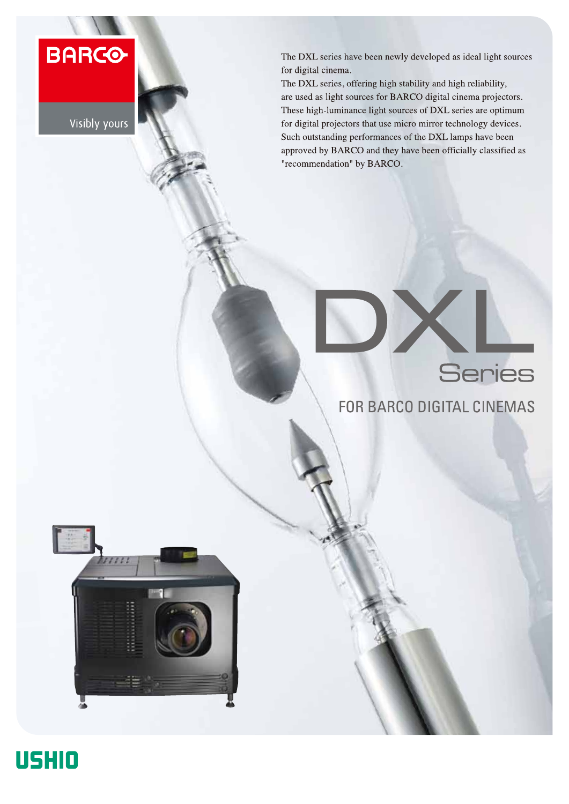**BARCO** 

Visibly yours

The DXL series have been newly developed as ideal light sources for digital cinema.

The DXL series, offering high stability and high reliability, are used as light sources for BARCO digital cinema projectors. These high-luminance light sources of DXL series are optimum for digital projectors that use micro mirror technology devices. Such outstanding performances of the DXL lamps have been approved by BARCO and they have been officially classified as "recommendation" by BARCO.

## Series

## FOR BARCO DIGITAL CINEMAS